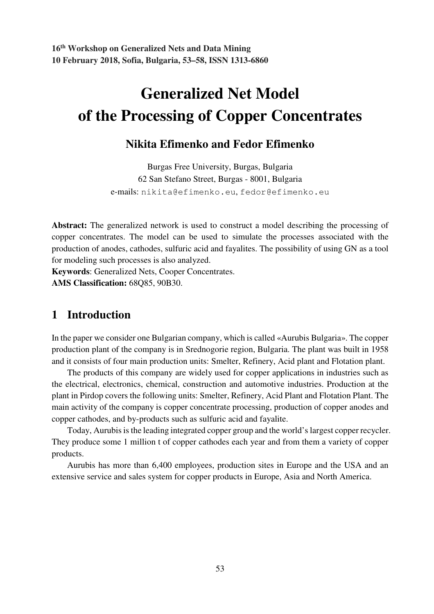**16th Workshop on Generalized Nets and Data Mining 10 February 2018, Sofia, Bulgaria, 53–58, ISSN 1313-6860**

# **Generalized Net Model of the Processing of Copper Concentrates**

### **Nikita Efimenko and Fedor Efimenko**

Burgas Free University, Burgas, Bulgaria 62 San Stefano Street, Burgas - 8001, Bulgaria e-mails: nikita@efimenko.eu, fedor@efimenko.eu

**Abstract:** The generalized network is used to construct a model describing the processing of copper concentrates. The model can be used to simulate the processes associated with the production of anodes, cathodes, sulfuric acid and fayalites. The possibility of using GN as a tool for modeling such processes is also analyzed.

**Keywords**: Generalized Nets, Cooper Concentrates. **AMS Classification:** 68Q85, 90B30.

### **1 Introduction**

In the paper we consider one Bulgarian company, which is called «Aurubis Bulgaria». The copper production plant of the company is in Srednogorie region, Bulgaria. The plant was built in 1958 and it consists of four main production units: Smelter, Refinery, Acid plant and Flotation plant.

The products of this company are widely used for copper applications in industries such as the electrical, electronics, chemical, construction and automotive industries. Production at the plant in Pirdop covers the following units: Smelter, Refinery, Acid Plant and Flotation Plant. The main activity of the company is copper concentrate processing, production of copper anodes and copper cathodes, and by-products such as sulfuric acid and fayalite.

Today, Aurubis is the leading integrated copper group and the world's largest copper recycler. They produce some 1 million t of copper cathodes each year and from them a variety of copper products.

Aurubis has more than 6,400 employees, production sites in Europe and the USA and an extensive service and sales system for copper products in Europe, Asia and North America.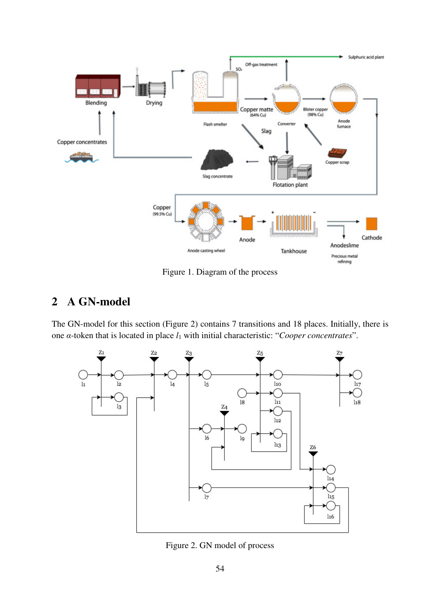

Figure 1. Diagram of the process

## **2 A GN-model**

The GN-model for this section (Figure 2) contains 7 transitions and 18 places. Initially, there is one α-token that is located in place *l*1 with initial characteristic: "*Cooper concentrates*".



Figure 2. GN model of process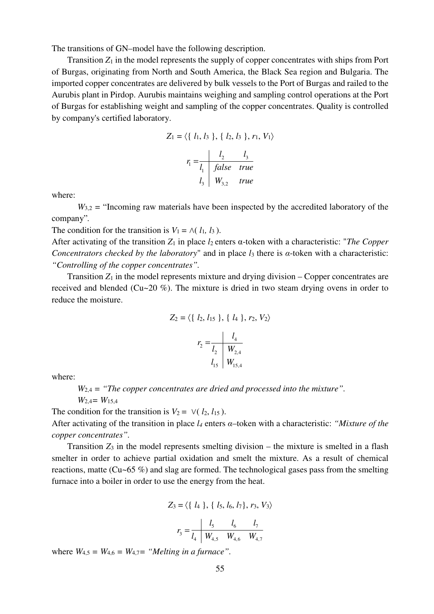The transitions of GN–model have the following description.

Transition  $Z_1$  in the model represents the supply of copper concentrates with ships from Port of Burgas, originating from North and South America, the Black Sea region and Bulgaria. The imported copper concentrates are delivered by bulk vessels to the Port of Burgas and railed to the Aurubis plant in Pirdop. Aurubis maintains weighing and sampling control operations at the Port of Burgas for establishing weight and sampling of the copper concentrates. Quality is controlled by company's certified laboratory.

$$
Z_1 = \langle \{ l_1, l_3 \}, \{ l_2, l_3 \}, r_1, V_1 \rangle
$$

$$
r_1 = \frac{l_2}{l_1} \frac{l_3}{false} true
$$

$$
l_3 \frac{W_{3,2}}{true}
$$

where:

 $W_{3,2}$  = "Incoming raw materials have been inspected by the accredited laboratory of the company"*.*

The condition for the transition is  $V_1 = \Lambda(l_1, l_3)$ .

After activating of the transition *Z*1 in place *l*<sup>2</sup> enters α-token with a characteristic: "*The Copper Concentrators checked by the laboratory*" and in place *l*<sup>3</sup> there is α-token with a characteristic: *"Controlling of the copper concentrates".*

Transition  $Z_1$  in the model represents mixture and drying division – Copper concentrates are received and blended (Cu~20 %). The mixture is dried in two steam drying ovens in order to reduce the moisture.

$$
Z_2 = \langle \{ l_2, l_{15} \}, \{ l_4 \}, r_2, V_2 \rangle
$$

$$
r_2 = \frac{l_4}{l_2} \frac{l_4}{W_{2,4}}
$$

$$
l_{15} \frac{l_4}{W_{15,4}}
$$

where:

*W*2,4 *= "The copper concentrates are dried and processed into the mixture".* 

 *W*2,4*= W*15,4

The condition for the transition is  $V_2 = \vee (l_2, l_{15})$ . After activating of the transition in place *l<sup>4</sup>* enters α–token with a characteristic: *"Mixture of the* 

*copper concentrates".* Transition  $Z_3$  in the model represents smelting division – the mixture is smelted in a flash

smelter in order to achieve partial oxidation and smelt the mixture. As a result of chemical reactions, matte (Cu~65 %) and slag are formed. The technological gases pass from the smelting furnace into a boiler in order to use the energy from the heat.

$$
Z_3 = \langle \{ l_4 \}, \{ l_5, l_6, l_7 \}, r_3, V_3 \rangle
$$

$$
\begin{vmatrix} l_5 & l_6 & l_7 \end{vmatrix}
$$

$$
r_3 = \frac{\epsilon_5 - \epsilon_6}{l_4 \cdot W_{4,5} \cdot W_{4,6} \cdot W_{4,7}}
$$

where  $W_{4,5} = W_{4,6} = W_{4,7} =$  "*Melting in a furnace*".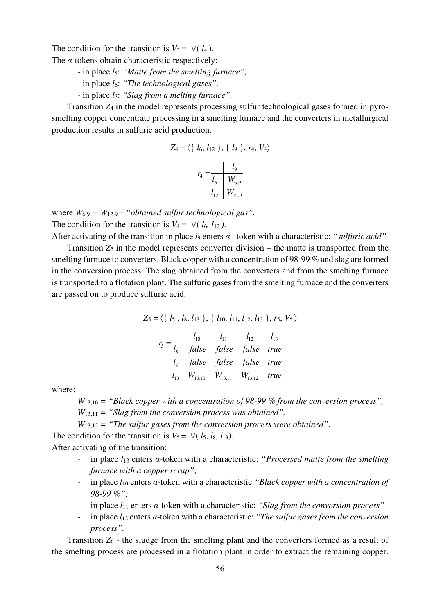The condition for the transition is  $V_3 = \vee (l_4)$ .

The  $\alpha$ -tokens obtain characteristic respectively:

- in place *l*5: *"Matte from the smelting furnace",*
- in place *l*6: *"The technological gases",*
- in place *l*7: *"Slag from a melting furnace".*

Transition *Z*4 in the model represents processing sulfur technological gases formed in pyrosmelting copper concentrate processing in a smelting furnace and the converters in metallurgical production results in sulfuric acid production.

$$
Z_4 = \langle \{ l_6, l_{12} \}, \{ l_9 \}, r_4, V_4 \rangle
$$

$$
r_4 = \frac{l_9}{l_6} \frac{l_{9}}{W_{6,9}}
$$

$$
l_{12} \frac{l_{12}}{W_{12,9}}
$$

where  $W_{6,9} = W_{12,9} =$  "obtained sulfur technological gas". The condition for the transition is  $V_4 = \vee (l_6, l_{12})$ .

After activating of the transition in place *l*<sup>9</sup> enters α –token with a characteristic: *"sulfuric acid".*

Transition  $Z_5$  in the model represents converter division – the matte is transported from the smelting furnuce to converters. Black copper with a concentration of 98-99 % and slag are formed in the conversion process. The slag obtained from the converters and from the smelting furnace is transported to a flotation plant. The sulfuric gases from the smelting furnace and the converters are passed on to produce sulfuric acid.

$$
Z_5 = \langle \{ l_5, l_8, l_{13} \}, \{ l_{10}, l_{11}, l_{12}, l_{13} \}, r_5, V_5 \rangle
$$

$$
r_{5} = \frac{l_{10}}{l_{5}} = \frac{l_{11}}{false}
$$
  
\n
$$
l_{12} = \frac{l_{13}}{true}
$$
  
\n
$$
l_{13} = \frac{false}{false}
$$
  
\n
$$
l_{13} = \frac{false}{true}
$$
  
\n
$$
l_{13} = \frac{true}{true}
$$
  
\n
$$
l_{13,10} = \frac{true}{true}
$$
  
\n
$$
l_{13,11} = \frac{true}{true}
$$
  
\n
$$
l_{13,12} = true
$$

where:

*W*13,10 *= "Black copper with a concentration of 98-99 % from the conversion process",* 

 *W*13,11 *= "Slag from the conversion process was obtained",*

 *W*13,12 *= "The sulfur gases from the conversion process were obtained",* 

The condition for the transition is  $V_5 = \sqrt{l_5}$ ,  $l_8$ ,  $l_{13}$ ). After activating of the transition:

- in place *l*<sup>13</sup> enters α-token with a characteristic: *"Processed matte from the smelting furnace with a copper scrap";*
- in place *l*<sup>10</sup> enters α-token with a characteristic:*"Black copper with a concentration of 98-99 %";*
- in place *l*<sup>11</sup> enters α-token with a characteristic: *"Slag from the conversion process"*
- in place *l*<sup>12</sup> enters α-token with a characteristic: *"The sulfur gases from the conversion process".*

Transition *Z*6 - the sludge from the smelting plant and the converters formed as a result of the smelting process are processed in a flotation plant in order to extract the remaining copper.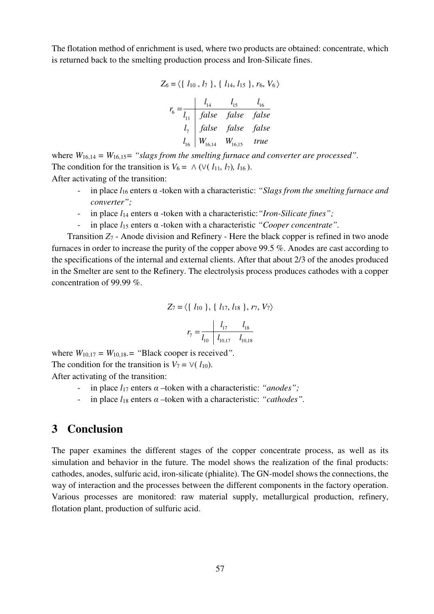The flotation method of enrichment is used, where two products are obtained: concentrate, which is returned back to the smelting production process and Iron-Silicate fines.

$$
Z_6 = \langle \{ l_{10}, l_7 \}, \{ l_{14}, l_{15} \}, r_6, V_6 \rangle
$$
  

$$
r_6 = \frac{l_{14}}{l_{11}} \frac{l_{15}}{false} false false false false
$$
  

$$
l_7 \begin{vmatrix} false & false & false \\ false & false & false \\ l_{16} & W_{16,14} & W_{16,15} & true \end{vmatrix}
$$

where  $W_{16,14} = W_{16,15} =$  "slags from the smelting furnace and converter are processed". The condition for the transition is  $V_6 = \land (V(\ell_{11}, \ell_7), \ell_{16})$ . After activating of the transition:

- in place *l*<sup>16</sup> enters α -token with a characteristic: *"Slags from the smelting furnace and converter";*
- in place *l*<sup>14</sup> enters α -token with a characteristic:*"Iron-Silicate fines";*
- in place *l*<sup>15</sup> enters α -token with a characteristic *"Cooper concentrate".*

Transition *Z*7 - Anode division and Refinery - Here the black copper is refined in two anode furnaces in order to increase the purity of the copper above 99.5 %. Anodes are cast according to the specifications of the internal and external clients. After that about 2/3 of the anodes produced in the Smelter are sent to the Refinery. The electrolysis process produces cathodes with a copper concentration of 99.99 %.

$$
Z_7 = \langle \{ l_{10} \}, \{ l_{17}, l_{18} \}, r_7, V_7 \rangle
$$

$$
r_7 = \frac{l_{17}}{l_{10}} \frac{l_{17}}{l_{10,17}} \frac{l_{18}}{l_{10,18}}
$$

where  $W_{10,17} = W_{10,18} =$  "Black cooper is received".

The condition for the transition is  $V_7 = \vee (l_{10})$ .

After activating of the transition:

- in place *l*<sup>17</sup> enters α –token with a characteristic: *"anodes";*
- in place  $l_{18}$  enters  $\alpha$  –token with a characteristic: "*cathodes*".

#### **3 Conclusion**

The paper examines the different stages of the copper concentrate process, as well as its simulation and behavior in the future. The model shows the realization of the final products: cathodes, anodes, sulfuric acid, iron-silicate (phialite). The GN-model shows the connections, the way of interaction and the processes between the different components in the factory operation. Various processes are monitored: raw material supply, metallurgical production, refinery, flotation plant, production of sulfuric acid.